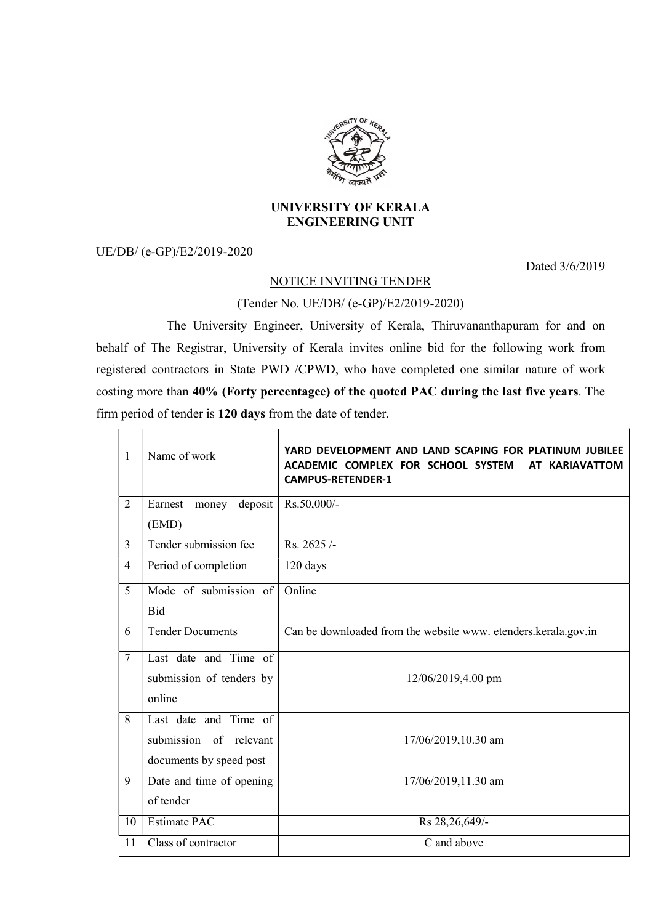

## UNIVERSITY OF KERALA ENGINEERING UNIT

UE/DB/ (e-GP)/E2/2019-2020

Dated 3/6/2019

## NOTICE INVITING TENDER

(Tender No. UE/DB/ (e-GP)/E2/2019-2020)

 The University Engineer, University of Kerala, Thiruvananthapuram for and on behalf of The Registrar, University of Kerala invites online bid for the following work from registered contractors in State PWD /CPWD, who have completed one similar nature of work costing more than 40% (Forty percentagee) of the quoted PAC during the last five years. The firm period of tender is 120 days from the date of tender.

| 1              | Name of work                | YARD DEVELOPMENT AND LAND SCAPING FOR PLATINUM JUBILEE<br>ACADEMIC COMPLEX FOR SCHOOL SYSTEM<br>AT KARIAVATTOM<br><b>CAMPUS-RETENDER-1</b> |
|----------------|-----------------------------|--------------------------------------------------------------------------------------------------------------------------------------------|
| 2              | Earnest<br>deposit<br>money | Rs.50,000/-                                                                                                                                |
|                | (EMD)                       |                                                                                                                                            |
| $\overline{3}$ | Tender submission fee       | Rs. 2625/-                                                                                                                                 |
| 4              | Period of completion        | 120 days                                                                                                                                   |
| 5              | Mode of submission of       | Online                                                                                                                                     |
|                | Bid                         |                                                                                                                                            |
| 6              | <b>Tender Documents</b>     | Can be downloaded from the website www. etenders.kerala.gov.in                                                                             |
| $\overline{7}$ | Last date and Time of       |                                                                                                                                            |
|                | submission of tenders by    | 12/06/2019,4.00 pm                                                                                                                         |
|                | online                      |                                                                                                                                            |
| 8              | Last date and Time of       |                                                                                                                                            |
|                | submission of relevant      | 17/06/2019,10.30 am                                                                                                                        |
|                | documents by speed post     |                                                                                                                                            |
| 9              | Date and time of opening    | 17/06/2019,11.30 am                                                                                                                        |
|                | of tender                   |                                                                                                                                            |
| 10             | <b>Estimate PAC</b>         | Rs 28,26,649/-                                                                                                                             |
| 11             | Class of contractor         | C and above                                                                                                                                |